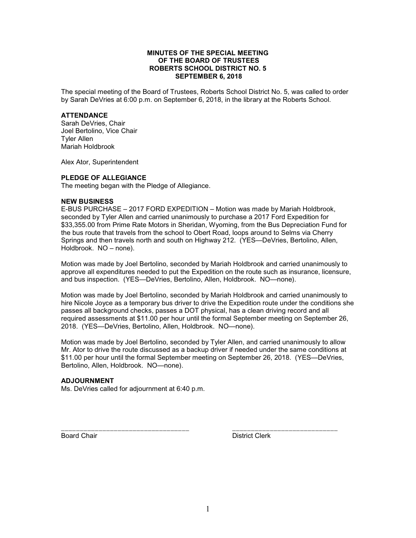# **MINUTES OF THE SPECIAL MEETING OF THE BOARD OF TRUSTEES ROBERTS SCHOOL DISTRICT NO. 5 SEPTEMBER 6, 2018**

The special meeting of the Board of Trustees, Roberts School District No. 5, was called to order by Sarah DeVries at 6:00 p.m. on September 6, 2018, in the library at the Roberts School.

## **ATTENDANCE**

Sarah DeVries, Chair Joel Bertolino, Vice Chair Tyler Allen Mariah Holdbrook

Alex Ator, Superintendent

#### **PLEDGE OF ALLEGIANCE**

The meeting began with the Pledge of Allegiance.

#### **NEW BUSINESS**

E-BUS PURCHASE – 2017 FORD EXPEDITION – Motion was made by Mariah Holdbrook, seconded by Tyler Allen and carried unanimously to purchase a 2017 Ford Expedition for \$33,355.00 from Prime Rate Motors in Sheridan, Wyoming, from the Bus Depreciation Fund for the bus route that travels from the school to Obert Road, loops around to Selms via Cherry Springs and then travels north and south on Highway 212. (YES—DeVries, Bertolino, Allen, Holdbrook. NO – none).

Motion was made by Joel Bertolino, seconded by Mariah Holdbrook and carried unanimously to approve all expenditures needed to put the Expedition on the route such as insurance, licensure, and bus inspection. (YES—DeVries, Bertolino, Allen, Holdbrook. NO—none).

Motion was made by Joel Bertolino, seconded by Mariah Holdbrook and carried unanimously to hire Nicole Joyce as a temporary bus driver to drive the Expedition route under the conditions she passes all background checks, passes a DOT physical, has a clean driving record and all required assessments at \$11.00 per hour until the formal September meeting on September 26, 2018. (YES—DeVries, Bertolino, Allen, Holdbrook. NO—none).

Motion was made by Joel Bertolino, seconded by Tyler Allen, and carried unanimously to allow Mr. Ator to drive the route discussed as a backup driver if needed under the same conditions at \$11.00 per hour until the formal September meeting on September 26, 2018. (YES—DeVries, Bertolino, Allen, Holdbrook. NO—none).

\_\_\_\_\_\_\_\_\_\_\_\_\_\_\_\_\_\_\_\_\_\_\_\_\_\_\_\_\_\_\_\_\_\_ \_\_\_\_\_\_\_\_\_\_\_\_\_\_\_\_\_\_\_\_\_\_\_\_\_\_\_\_

## **ADJOURNMENT**

Ms. DeVries called for adjournment at 6:40 p.m.

Board Chair **District Clerk**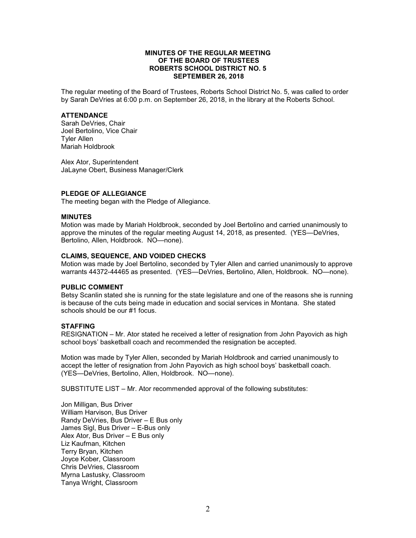## **MINUTES OF THE REGULAR MEETING OF THE BOARD OF TRUSTEES ROBERTS SCHOOL DISTRICT NO. 5 SEPTEMBER 26, 2018**

The regular meeting of the Board of Trustees, Roberts School District No. 5, was called to order by Sarah DeVries at 6:00 p.m. on September 26, 2018, in the library at the Roberts School.

## **ATTENDANCE**

Sarah DeVries, Chair Joel Bertolino, Vice Chair Tyler Allen Mariah Holdbrook

Alex Ator, Superintendent JaLayne Obert, Business Manager/Clerk

## **PLEDGE OF ALLEGIANCE**

The meeting began with the Pledge of Allegiance.

## **MINUTES**

Motion was made by Mariah Holdbrook, seconded by Joel Bertolino and carried unanimously to approve the minutes of the regular meeting August 14, 2018, as presented. (YES—DeVries, Bertolino, Allen, Holdbrook. NO—none).

# **CLAIMS, SEQUENCE, AND VOIDED CHECKS**

Motion was made by Joel Bertolino, seconded by Tyler Allen and carried unanimously to approve warrants 44372-44465 as presented. (YES—DeVries, Bertolino, Allen, Holdbrook. NO—none).

#### **PUBLIC COMMENT**

Betsy Scanlin stated she is running for the state legislature and one of the reasons she is running is because of the cuts being made in education and social services in Montana. She stated schools should be our #1 focus.

# **STAFFING**

RESIGNATION – Mr. Ator stated he received a letter of resignation from John Payovich as high school boys' basketball coach and recommended the resignation be accepted.

Motion was made by Tyler Allen, seconded by Mariah Holdbrook and carried unanimously to accept the letter of resignation from John Payovich as high school boys' basketball coach. (YES—DeVries, Bertolino, Allen, Holdbrook. NO—none).

SUBSTITUTE LIST – Mr. Ator recommended approval of the following substitutes:

Jon Milligan, Bus Driver William Harvison, Bus Driver Randy DeVries, Bus Driver – E Bus only James Sigl, Bus Driver – E-Bus only Alex Ator, Bus Driver – E Bus only Liz Kaufman, Kitchen Terry Bryan, Kitchen Joyce Kober, Classroom Chris DeVries, Classroom Myrna Lastusky, Classroom Tanya Wright, Classroom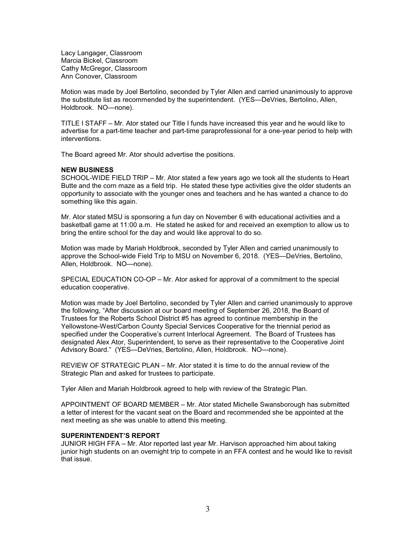Lacy Langager, Classroom Marcia Bickel, Classroom Cathy McGregor, Classroom Ann Conover, Classroom

Motion was made by Joel Bertolino, seconded by Tyler Allen and carried unanimously to approve the substitute list as recommended by the superintendent. (YES—DeVries, Bertolino, Allen, Holdbrook. NO—none).

TITLE I STAFF – Mr. Ator stated our Title I funds have increased this year and he would like to advertise for a part-time teacher and part-time paraprofessional for a one-year period to help with interventions.

The Board agreed Mr. Ator should advertise the positions.

## **NEW BUSINESS**

SCHOOL-WIDE FIELD TRIP – Mr. Ator stated a few years ago we took all the students to Heart Butte and the corn maze as a field trip. He stated these type activities give the older students an opportunity to associate with the younger ones and teachers and he has wanted a chance to do something like this again.

Mr. Ator stated MSU is sponsoring a fun day on November 6 with educational activities and a basketball game at 11:00 a.m. He stated he asked for and received an exemption to allow us to bring the entire school for the day and would like approval to do so.

Motion was made by Mariah Holdbrook, seconded by Tyler Allen and carried unanimously to approve the School-wide Field Trip to MSU on November 6, 2018. (YES—DeVries, Bertolino, Allen, Holdbrook. NO—none).

SPECIAL EDUCATION CO-OP – Mr. Ator asked for approval of a commitment to the special education cooperative.

Motion was made by Joel Bertolino, seconded by Tyler Allen and carried unanimously to approve the following, "After discussion at our board meeting of September 26, 2018, the Board of Trustees for the Roberts School District #5 has agreed to continue membership in the Yellowstone-West/Carbon County Special Services Cooperative for the triennial period as specified under the Cooperative's current Interlocal Agreement. The Board of Trustees has designated Alex Ator, Superintendent, to serve as their representative to the Cooperative Joint Advisory Board." (YES—DeVries, Bertolino, Allen, Holdbrook. NO—none).

REVIEW OF STRATEGIC PLAN – Mr. Ator stated it is time to do the annual review of the Strategic Plan and asked for trustees to participate.

Tyler Allen and Mariah Holdbrook agreed to help with review of the Strategic Plan.

APPOINTMENT OF BOARD MEMBER – Mr. Ator stated Michelle Swansborough has submitted a letter of interest for the vacant seat on the Board and recommended she be appointed at the next meeting as she was unable to attend this meeting.

#### **SUPERINTENDENT'S REPORT**

JUNIOR HIGH FFA – Mr. Ator reported last year Mr. Harvison approached him about taking junior high students on an overnight trip to compete in an FFA contest and he would like to revisit that issue.